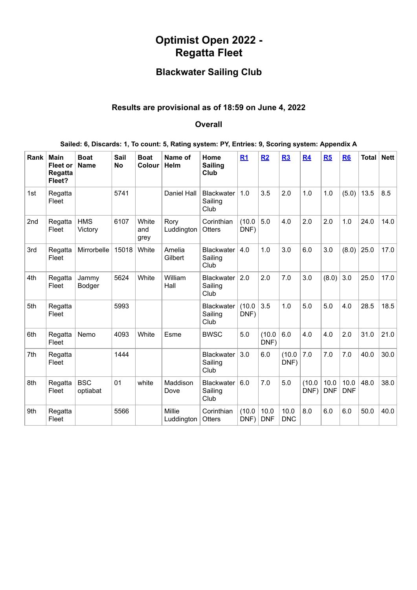# **Optimist Open 2022 - Regatta Fleet**

## **Blackwater Sailing Club**

## **Results are provisional as of 18:59 on June 4, 2022**

### **Overall**

| Sailed: 6, Discards: 1, To count: 5, Rating system: PY, Entries: 9, Scoring system: Appendix A |  |  |  |  |
|------------------------------------------------------------------------------------------------|--|--|--|--|

| Rank            | <b>Main</b><br><b>Fleet or</b><br>Regatta<br>Fleet? | <b>Boat</b><br><b>Name</b> | Sail<br><b>No</b> | <b>Boat</b><br>Colour | Name of<br>Helm      | Home<br><b>Sailing</b><br>Club       | R1             | R2                 | R3                 | R4             | R5                 | R <sub>6</sub>     | <b>Total</b> | <b>Nett</b> |
|-----------------|-----------------------------------------------------|----------------------------|-------------------|-----------------------|----------------------|--------------------------------------|----------------|--------------------|--------------------|----------------|--------------------|--------------------|--------------|-------------|
| 1st             | Regatta<br>Fleet                                    |                            | 5741              |                       | Daniel Hall          | <b>Blackwater</b><br>Sailing<br>Club | 1.0            | 3.5                | 2.0                | 1.0            | 1.0                | (5.0)              | 13.5         | 8.5         |
| 2 <sub>nd</sub> | Regatta<br>Fleet                                    | <b>HMS</b><br>Victory      | 6107              | White<br>and<br>grey  | Rory<br>Luddington   | Corinthian<br><b>Otters</b>          | (10.0)<br>DNF) | 5.0                | 4.0                | 2.0            | 2.0                | 1.0                | 24.0         | 14.0        |
| 3rd             | Regatta<br>Fleet                                    | Mirrorbelle                | 15018             | White                 | Amelia<br>Gilbert    | <b>Blackwater</b><br>Sailing<br>Club | 4.0            | 1.0                | 3.0                | 6.0            | 3.0                | (8.0)              | 25.0         | 17.0        |
| 4th             | Regatta<br>Fleet                                    | Jammy<br><b>Bodger</b>     | 5624              | White                 | William<br>Hall      | <b>Blackwater</b><br>Sailing<br>Club | 2.0            | 2.0                | 7.0                | 3.0            | (8.0)              | 3.0                | 25.0         | 17.0        |
| 5th             | Regatta<br>Fleet                                    |                            | 5993              |                       |                      | <b>Blackwater</b><br>Sailing<br>Club | (10.0)<br>DNF) | 3.5                | 1.0                | 5.0            | 5.0                | 4.0                | 28.5         | 18.5        |
| 6th             | Regatta<br>Fleet                                    | Nemo                       | 4093              | White                 | Esme                 | <b>BWSC</b>                          | 5.0            | (10.0)<br>DNF)     | 6.0                | 4.0            | 4.0                | 2.0                | 31.0         | 21.0        |
| 7th             | Regatta<br>Fleet                                    |                            | 1444              |                       |                      | <b>Blackwater</b><br>Sailing<br>Club | 3.0            | 6.0                | (10.0)<br>DNF)     | 7.0            | 7.0                | 7.0                | 40.0         | 30.0        |
| 8th             | Regatta<br>Fleet                                    | <b>BSC</b><br>optiabat     | 01                | white                 | Maddison<br>Dove     | <b>Blackwater</b><br>Sailing<br>Club | 6.0            | 7.0                | 5.0                | (10.0)<br>DNF) | 10.0<br><b>DNF</b> | 10.0<br><b>DNF</b> | 48.0         | 38.0        |
| 9th             | Regatta<br>Fleet                                    |                            | 5566              |                       | Millie<br>Luddington | Corinthian<br><b>Otters</b>          | (10.0)<br>DNF) | 10.0<br><b>DNF</b> | 10.0<br><b>DNC</b> | 8.0            | 6.0                | 6.0                | 50.0         | 40.0        |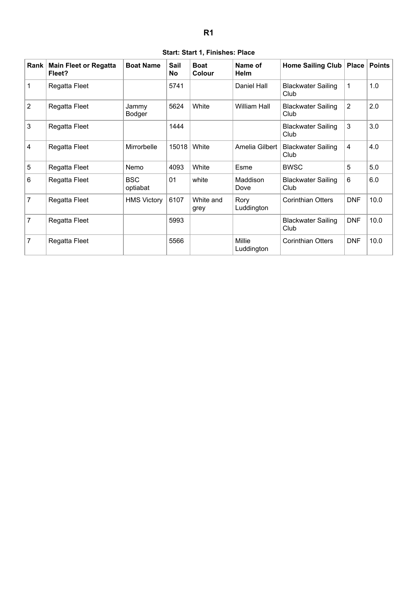|  | Start: Start 1, Finishes: Place |  |
|--|---------------------------------|--|
|  |                                 |  |

<span id="page-1-0"></span>

| Rank | <b>Main Fleet or Regatta</b><br>Fleet? | <b>Boat Name</b>       | Sail<br>No | <b>Boat</b><br>Colour | Name of<br><b>Helm</b> | <b>Home Sailing Club</b>          | <b>Place</b>   | <b>Points</b> |
|------|----------------------------------------|------------------------|------------|-----------------------|------------------------|-----------------------------------|----------------|---------------|
| 1    | Regatta Fleet                          |                        | 5741       |                       | Daniel Hall            | <b>Blackwater Sailing</b><br>Club | $\mathbf{1}$   | 1.0           |
| 2    | Regatta Fleet                          | Jammy<br>Bodger        | 5624       | White                 | <b>William Hall</b>    | <b>Blackwater Sailing</b><br>Club | $\overline{2}$ | 2.0           |
| 3    | Regatta Fleet                          |                        | 1444       |                       |                        | <b>Blackwater Sailing</b><br>Club | 3              | 3.0           |
| 4    | Regatta Fleet                          | Mirrorbelle            | 15018      | White                 | Amelia Gilbert         | <b>Blackwater Sailing</b><br>Club | 4              | 4.0           |
| 5    | Regatta Fleet                          | Nemo                   | 4093       | White                 | Esme                   | <b>BWSC</b>                       | 5              | 5.0           |
| 6    | Regatta Fleet                          | <b>BSC</b><br>optiabat | 01         | white                 | Maddison<br>Dove       | <b>Blackwater Sailing</b><br>Club | 6              | 6.0           |
| 7    | Regatta Fleet                          | <b>HMS Victory</b>     | 6107       | White and<br>grey     | Rory<br>Luddington     | <b>Corinthian Otters</b>          | <b>DNF</b>     | 10.0          |
| 7    | Regatta Fleet                          |                        | 5993       |                       |                        | <b>Blackwater Sailing</b><br>Club | <b>DNF</b>     | 10.0          |
| 7    | Regatta Fleet                          |                        | 5566       |                       | Millie<br>Luddington   | <b>Corinthian Otters</b>          | <b>DNF</b>     | 10.0          |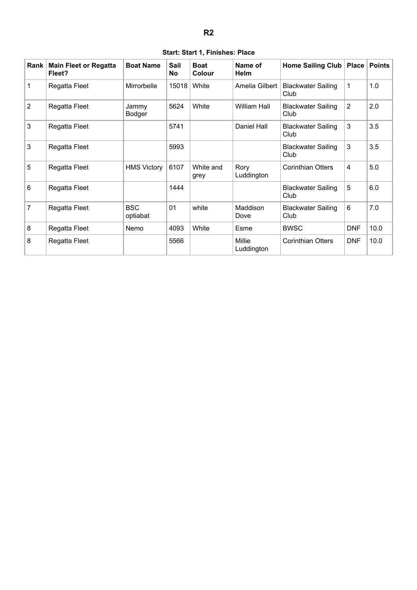<span id="page-2-0"></span>

| Rank           | <b>Main Fleet or Regatta</b><br>Fleet? | <b>Boat Name</b>       | Sail<br>No | <b>Boat</b><br>Colour | Name of<br><b>Helm</b> | <b>Home Sailing Club</b>          | <b>Place</b>   | <b>Points</b> |
|----------------|----------------------------------------|------------------------|------------|-----------------------|------------------------|-----------------------------------|----------------|---------------|
| $\mathbf{1}$   | Regatta Fleet                          | Mirrorbelle            | 15018      | White                 | Amelia Gilbert         | <b>Blackwater Sailing</b><br>Club | 1              | 1.0           |
| $\overline{2}$ | Regatta Fleet                          | Jammy<br>Bodger        | 5624       | White                 | <b>William Hall</b>    | <b>Blackwater Sailing</b><br>Club | $\overline{2}$ | 2.0           |
| 3              | Regatta Fleet                          |                        | 5741       |                       | Daniel Hall            | <b>Blackwater Sailing</b><br>Club | 3              | 3.5           |
| $\mathbf{3}$   | Regatta Fleet                          |                        | 5993       |                       |                        | <b>Blackwater Sailing</b><br>Club | 3              | 3.5           |
| 5              | Regatta Fleet                          | <b>HMS Victory</b>     | 6107       | White and<br>grey     | Rory<br>Luddington     | <b>Corinthian Otters</b>          | 4              | 5.0           |
| 6              | Regatta Fleet                          |                        | 1444       |                       |                        | <b>Blackwater Sailing</b><br>Club | 5              | 6.0           |
| 7              | Regatta Fleet                          | <b>BSC</b><br>optiabat | 01         | white                 | Maddison<br>Dove       | <b>Blackwater Sailing</b><br>Club | 6              | 7.0           |
| 8              | Regatta Fleet                          | Nemo                   | 4093       | White                 | Esme                   | <b>BWSC</b>                       | <b>DNF</b>     | 10.0          |
| 8              | Regatta Fleet                          |                        | 5566       |                       | Millie<br>Luddington   | <b>Corinthian Otters</b>          | <b>DNF</b>     | 10.0          |

#### **Start: Start 1, Finishes: Place**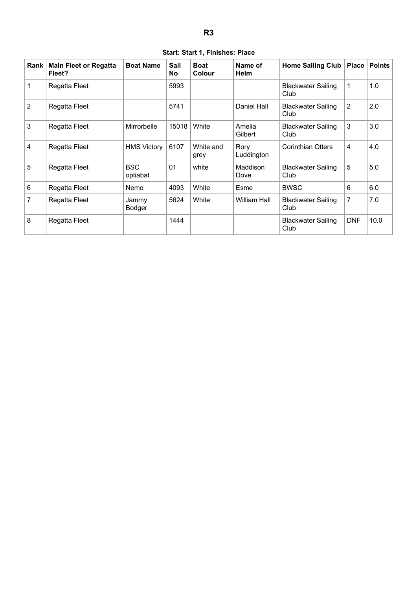<span id="page-3-0"></span>

| Rank | <b>Main Fleet or Regatta</b><br>Fleet? | <b>Boat Name</b>       | Sail<br>No | <b>Boat</b><br>Colour | Name of<br><b>Helm</b> | <b>Home Sailing Club</b>          | <b>Place</b>   | <b>Points</b> |
|------|----------------------------------------|------------------------|------------|-----------------------|------------------------|-----------------------------------|----------------|---------------|
| 1    | Regatta Fleet                          |                        | 5993       |                       |                        | <b>Blackwater Sailing</b><br>Club | $\mathbf 1$    | 1.0           |
| 2    | Regatta Fleet                          |                        | 5741       |                       | Daniel Hall            | <b>Blackwater Sailing</b><br>Club | $\overline{2}$ | 2.0           |
| 3    | Regatta Fleet                          | Mirrorbelle            | 15018      | White                 | Amelia<br>Gilbert      | <b>Blackwater Sailing</b><br>Club | 3              | 3.0           |
| 4    | Regatta Fleet                          | <b>HMS Victory</b>     | 6107       | White and<br>grey     | Rory<br>Luddington     | <b>Corinthian Otters</b>          | 4              | 4.0           |
| 5    | Regatta Fleet                          | <b>BSC</b><br>optiabat | 01         | white                 | Maddison<br>Dove       | <b>Blackwater Sailing</b><br>Club | 5              | 5.0           |
| 6    | Regatta Fleet                          | Nemo                   | 4093       | White                 | Esme                   | <b>BWSC</b>                       | 6              | 6.0           |
| 7    | Regatta Fleet                          | Jammy<br>Bodger        | 5624       | White                 | William Hall           | <b>Blackwater Sailing</b><br>Club | 7              | 7.0           |
| 8    | Regatta Fleet                          |                        | 1444       |                       |                        | <b>Blackwater Sailing</b><br>Club | <b>DNF</b>     | 10.0          |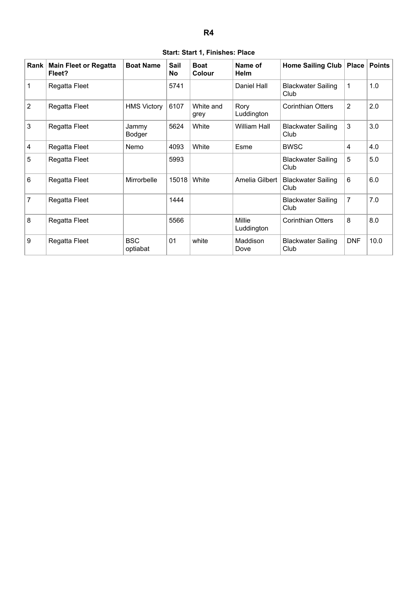|  | Start: Start 1, Finishes: Place |  |
|--|---------------------------------|--|
|  |                                 |  |

<span id="page-4-0"></span>

| Rank           | <b>Main Fleet or Regatta</b><br>Fleet? | <b>Boat Name</b>       | Sail<br>No | <b>Boat</b><br>Colour | Name of<br><b>Helm</b>      | <b>Home Sailing Club</b>          | Place          | <b>Points</b> |
|----------------|----------------------------------------|------------------------|------------|-----------------------|-----------------------------|-----------------------------------|----------------|---------------|
| 1              | Regatta Fleet                          |                        | 5741       |                       | Daniel Hall                 | <b>Blackwater Sailing</b><br>Club | $\mathbf{1}$   | 1.0           |
| $\overline{2}$ | Regatta Fleet                          | <b>HMS Victory</b>     | 6107       | White and<br>grey     | Rory<br>Luddington          | <b>Corinthian Otters</b>          | $\overline{2}$ | 2.0           |
| 3              | Regatta Fleet                          | Jammy<br>Bodger        | 5624       | White                 | <b>William Hall</b>         | <b>Blackwater Sailing</b><br>Club | 3              | 3.0           |
| $\overline{4}$ | Regatta Fleet                          | Nemo                   | 4093       | White                 | Esme                        | <b>BWSC</b>                       | 4              | 4.0           |
| 5              | Regatta Fleet                          |                        | 5993       |                       |                             | <b>Blackwater Sailing</b><br>Club | 5              | 5.0           |
| 6              | Regatta Fleet                          | Mirrorbelle            | 15018      | White                 | Amelia Gilbert              | <b>Blackwater Sailing</b><br>Club | 6              | 6.0           |
| 7              | Regatta Fleet                          |                        | 1444       |                       |                             | <b>Blackwater Sailing</b><br>Club | 7              | 7.0           |
| 8              | Regatta Fleet                          |                        | 5566       |                       | <b>Millie</b><br>Luddington | <b>Corinthian Otters</b>          | 8              | 8.0           |
| 9              | Regatta Fleet                          | <b>BSC</b><br>optiabat | 01         | white                 | Maddison<br>Dove            | <b>Blackwater Sailing</b><br>Club | <b>DNF</b>     | 10.0          |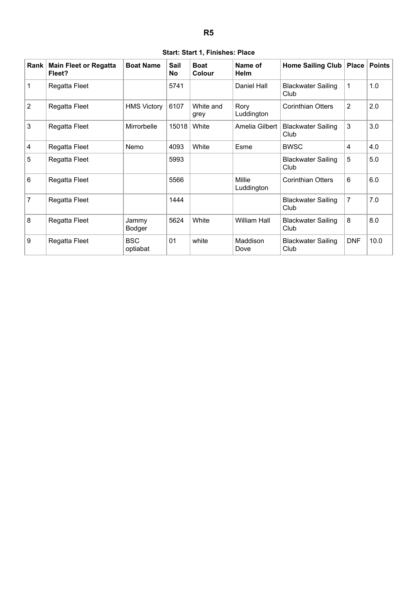|  | Start: Start 1, Finishes: Place |  |
|--|---------------------------------|--|
|  |                                 |  |

<span id="page-5-0"></span>

| Rank           | <b>Main Fleet or Regatta</b><br>Fleet? | <b>Boat Name</b>       | Sail<br><b>No</b> | <b>Boat</b><br>Colour | Name of<br><b>Helm</b>      | Home Sailing Club                 | Place          | <b>Points</b> |
|----------------|----------------------------------------|------------------------|-------------------|-----------------------|-----------------------------|-----------------------------------|----------------|---------------|
| 1              | Regatta Fleet                          |                        | 5741              |                       | Daniel Hall                 | <b>Blackwater Sailing</b><br>Club | 1              | 1.0           |
| 2              | Regatta Fleet                          | <b>HMS Victory</b>     | 6107              | White and<br>grey     | Rory<br>Luddington          | <b>Corinthian Otters</b>          | $\overline{2}$ | 2.0           |
| 3              | Regatta Fleet                          | Mirrorbelle            | 15018             | White                 | Amelia Gilbert              | <b>Blackwater Sailing</b><br>Club | 3              | 3.0           |
| $\overline{4}$ | Regatta Fleet                          | Nemo                   | 4093              | White                 | Esme                        | <b>BWSC</b>                       | 4              | 4.0           |
| 5              | Regatta Fleet                          |                        | 5993              |                       |                             | <b>Blackwater Sailing</b><br>Club | 5              | 5.0           |
| 6              | Regatta Fleet                          |                        | 5566              |                       | <b>Millie</b><br>Luddington | <b>Corinthian Otters</b>          | 6              | 6.0           |
| 7              | Regatta Fleet                          |                        | 1444              |                       |                             | <b>Blackwater Sailing</b><br>Club | 7              | 7.0           |
| 8              | Regatta Fleet                          | Jammy<br>Bodger        | 5624              | White                 | <b>William Hall</b>         | <b>Blackwater Sailing</b><br>Club | 8              | 8.0           |
| 9              | Regatta Fleet                          | <b>BSC</b><br>optiabat | 01                | white                 | Maddison<br>Dove            | <b>Blackwater Sailing</b><br>Club | <b>DNF</b>     | 10.0          |